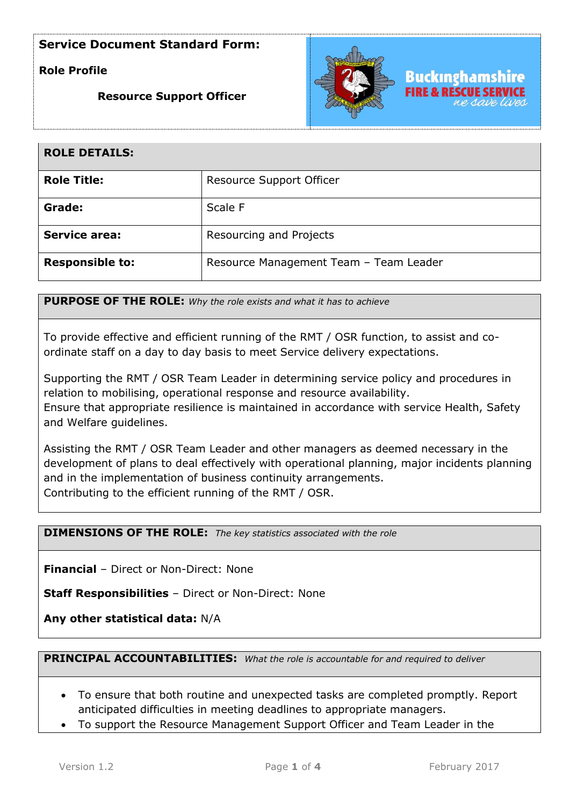# **Role Profile**

## **Resource Support Officer**



| <b>ROLE DETAILS:</b>   |                                        |
|------------------------|----------------------------------------|
| <b>Role Title:</b>     | Resource Support Officer               |
| Grade:                 | Scale F                                |
| <b>Service area:</b>   | Resourcing and Projects                |
| <b>Responsible to:</b> | Resource Management Team - Team Leader |

**PURPOSE OF THE ROLE:** *Why the role exists and what it has to achieve* 

To provide effective and efficient running of the RMT / OSR function, to assist and coordinate staff on a day to day basis to meet Service delivery expectations.

Supporting the RMT / OSR Team Leader in determining service policy and procedures in relation to mobilising, operational response and resource availability. Ensure that appropriate resilience is maintained in accordance with service Health, Safety and Welfare guidelines.

Assisting the RMT / OSR Team Leader and other managers as deemed necessary in the development of plans to deal effectively with operational planning, major incidents planning and in the implementation of business continuity arrangements. Contributing to the efficient running of the RMT / OSR.

**DIMENSIONS OF THE ROLE:** *The key statistics associated with the role*

**Financial** – Direct or Non-Direct: None

**Staff Responsibilities** – Direct or Non-Direct: None

**Any other statistical data:** N/A

**PRINCIPAL ACCOUNTABILITIES:** *What the role is accountable for and required to deliver*

- To ensure that both routine and unexpected tasks are completed promptly. Report anticipated difficulties in meeting deadlines to appropriate managers.
- To support the Resource Management Support Officer and Team Leader in the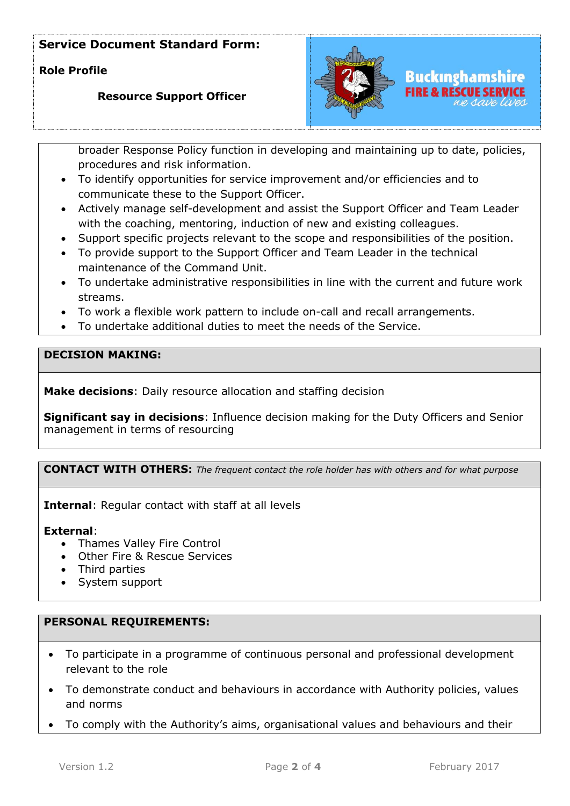**Role Profile** 

## **Resource Support Officer**



broader Response Policy function in developing and maintaining up to date, policies, procedures and risk information.

- To identify opportunities for service improvement and/or efficiencies and to communicate these to the Support Officer.
- Actively manage self-development and assist the Support Officer and Team Leader with the coaching, mentoring, induction of new and existing colleagues.
- Support specific projects relevant to the scope and responsibilities of the position.
- To provide support to the Support Officer and Team Leader in the technical maintenance of the Command Unit.
- To undertake administrative responsibilities in line with the current and future work streams.
- To work a flexible work pattern to include on-call and recall arrangements.
- To undertake additional duties to meet the needs of the Service.

# **DECISION MAKING:**

**Make decisions**: Daily resource allocation and staffing decision

**Significant say in decisions**: Influence decision making for the Duty Officers and Senior management in terms of resourcing

**CONTACT WITH OTHERS:** *The frequent contact the role holder has with others and for what purpose* 

**Internal**: Regular contact with staff at all levels

#### **External**:

- Thames Valley Fire Control
- Other Fire & Rescue Services
- Third parties
- System support

## **PERSONAL REQUIREMENTS:**

- To participate in a programme of continuous personal and professional development relevant to the role
- To demonstrate conduct and behaviours in accordance with Authority policies, values and norms
- To comply with the Authority's aims, organisational values and behaviours and their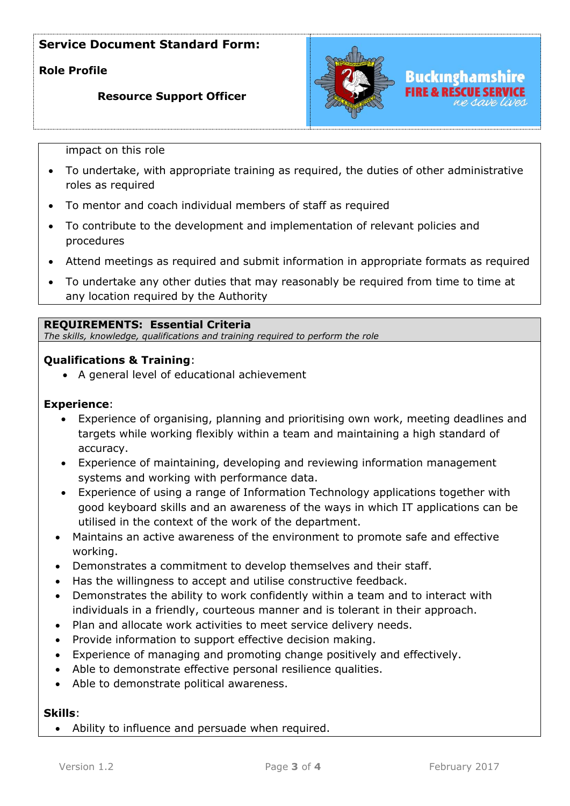# **Role Profile**

### **Resource Support Officer**



impact on this role

- To undertake, with appropriate training as required, the duties of other administrative roles as required
- To mentor and coach individual members of staff as required
- To contribute to the development and implementation of relevant policies and procedures
- Attend meetings as required and submit information in appropriate formats as required
- To undertake any other duties that may reasonably be required from time to time at any location required by the Authority

#### **REQUIREMENTS: Essential Criteria**

*The skills, knowledge, qualifications and training required to perform the role*

#### **Qualifications & Training**:

• A general level of educational achievement

#### **Experience**:

- Experience of organising, planning and prioritising own work, meeting deadlines and targets while working flexibly within a team and maintaining a high standard of accuracy.
- Experience of maintaining, developing and reviewing information management systems and working with performance data.
- Experience of using a range of Information Technology applications together with good keyboard skills and an awareness of the ways in which IT applications can be utilised in the context of the work of the department.
- Maintains an active awareness of the environment to promote safe and effective working.
- Demonstrates a commitment to develop themselves and their staff.
- Has the willingness to accept and utilise constructive feedback.
- Demonstrates the ability to work confidently within a team and to interact with individuals in a friendly, courteous manner and is tolerant in their approach.
- Plan and allocate work activities to meet service delivery needs.
- Provide information to support effective decision making.
- Experience of managing and promoting change positively and effectively.
- Able to demonstrate effective personal resilience qualities.
- Able to demonstrate political awareness.

#### **Skills**:

• Ability to influence and persuade when required.